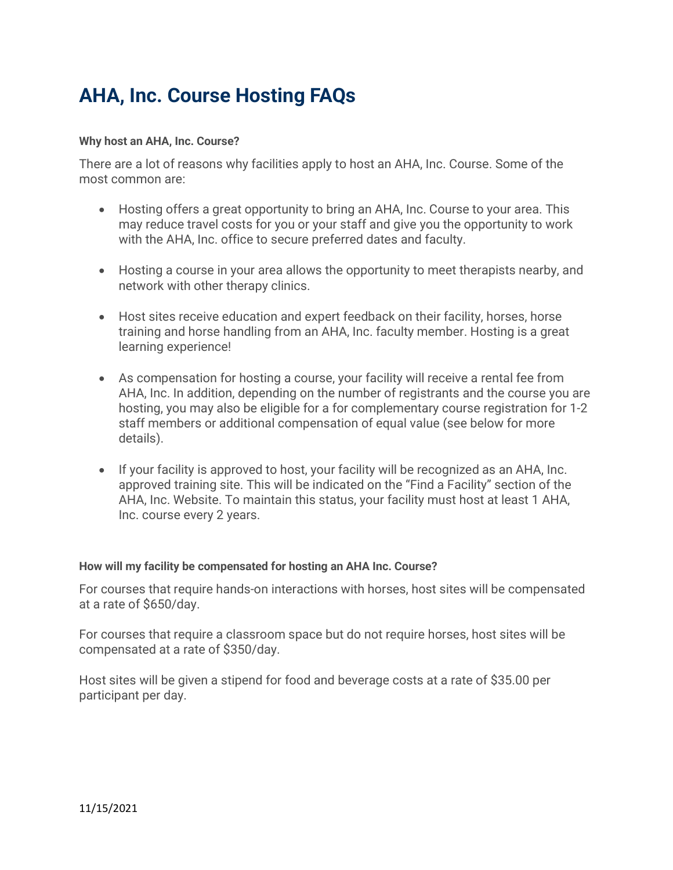# AHA, Inc. Course Hosting FAQs

#### Why host an AHA, Inc. Course?

There are a lot of reasons why facilities apply to host an AHA, Inc. Course. Some of the most common are:

- Hosting offers a great opportunity to bring an AHA, Inc. Course to your area. This may reduce travel costs for you or your staff and give you the opportunity to work with the AHA, Inc. office to secure preferred dates and faculty.
- Hosting a course in your area allows the opportunity to meet therapists nearby, and network with other therapy clinics.
- Host sites receive education and expert feedback on their facility, horses, horse training and horse handling from an AHA, Inc. faculty member. Hosting is a great learning experience!
- As compensation for hosting a course, your facility will receive a rental fee from AHA, Inc. In addition, depending on the number of registrants and the course you are hosting, you may also be eligible for a for complementary course registration for 1-2 staff members or additional compensation of equal value (see below for more details).
- If your facility is approved to host, your facility will be recognized as an AHA, Inc. approved training site. This will be indicated on the "Find a Facility" section of the AHA, Inc. Website. To maintain this status, your facility must host at least 1 AHA, Inc. course every 2 years.

#### How will my facility be compensated for hosting an AHA Inc. Course?

For courses that require hands-on interactions with horses, host sites will be compensated at a rate of \$650/day.

For courses that require a classroom space but do not require horses, host sites will be compensated at a rate of \$350/day.

Host sites will be given a stipend for food and beverage costs at a rate of \$35.00 per participant per day.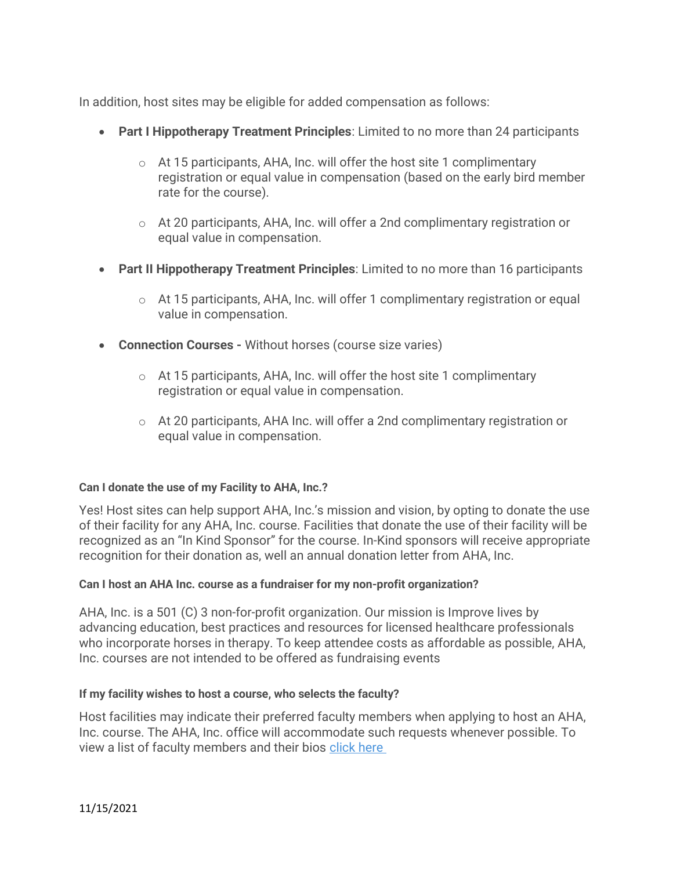In addition, host sites may be eligible for added compensation as follows:

- Part I Hippotherapy Treatment Principles: Limited to no more than 24 participants
	- $\circ$  At 15 participants, AHA, Inc. will offer the host site 1 complimentary registration or equal value in compensation (based on the early bird member rate for the course).
	- $\circ$  At 20 participants, AHA, Inc. will offer a 2nd complimentary registration or equal value in compensation.
- Part II Hippotherapy Treatment Principles: Limited to no more than 16 participants
	- $\circ$  At 15 participants, AHA, Inc. will offer 1 complimentary registration or equal value in compensation.
- Connection Courses Without horses (course size varies)
	- $\circ$  At 15 participants, AHA, Inc. will offer the host site 1 complimentary registration or equal value in compensation.
	- o At 20 participants, AHA Inc. will offer a 2nd complimentary registration or equal value in compensation.

## Can I donate the use of my Facility to AHA, Inc.?

Yes! Host sites can help support AHA, Inc.'s mission and vision, by opting to donate the use of their facility for any AHA, Inc. course. Facilities that donate the use of their facility will be recognized as an "In Kind Sponsor" for the course. In-Kind sponsors will receive appropriate recognition for their donation as, well an annual donation letter from AHA, Inc.

## Can I host an AHA Inc. course as a fundraiser for my non-profit organization?

AHA, Inc. is a 501 (C) 3 non-for-profit organization. Our mission is Improve lives by advancing education, best practices and resources for licensed healthcare professionals who incorporate horses in therapy. To keep attendee costs as affordable as possible, AHA, Inc. courses are not intended to be offered as fundraising events

## If my facility wishes to host a course, who selects the faculty?

Host facilities may indicate their preferred faculty members when applying to host an AHA, Inc. course. The AHA, Inc. office will accommodate such requests whenever possible. To view a list of faculty members and their bios click here